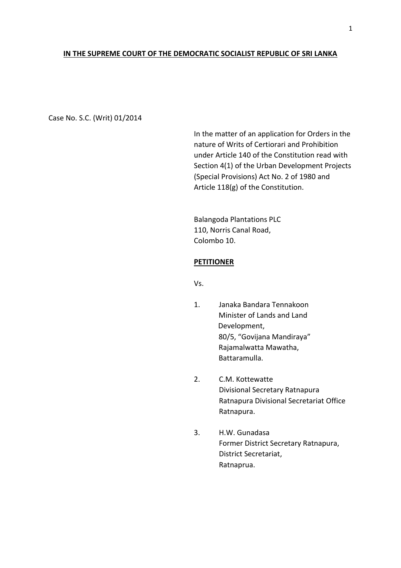### **IN THE SUPREME COURT OF THE DEMOCRATIC SOCIALIST REPUBLIC OF SRI LANKA**

Case No. S.C. (Writ) 01/2014

In the matter of an application for Orders in the nature of Writs of Certiorari and Prohibition under Article 140 of the Constitution read with Section 4(1) of the Urban Development Projects (Special Provisions) Act No. 2 of 1980 and Article 118(g) of the Constitution.

Balangoda Plantations PLC 110, Norris Canal Road, Colombo 10.

#### **PETITIONER**

Vs.

- 1. Janaka Bandara Tennakoon Minister of Lands and Land Development, 80/5, "Govijana Mandiraya" Rajamalwatta Mawatha, Battaramulla.
- 2. C.M. Kottewatte Divisional Secretary Ratnapura Ratnapura Divisional Secretariat Office Ratnapura.
- 3. H.W. Gunadasa Former District Secretary Ratnapura, District Secretariat, Ratnaprua.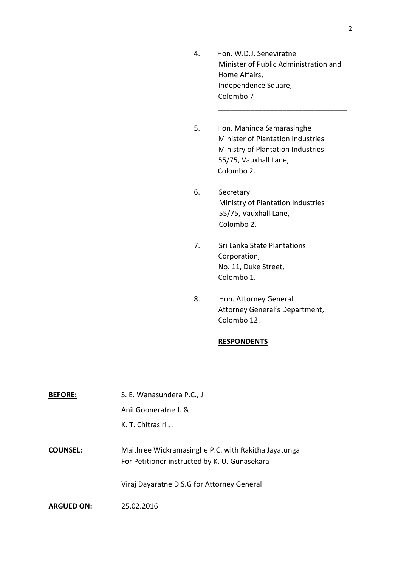4. Hon. W.D.J. Seneviratne Minister of Public Administration and Home Affairs, Independence Square, Colombo 7

\_\_\_\_\_\_\_\_\_\_\_\_\_\_\_\_\_\_\_\_\_\_\_\_\_\_\_\_\_\_\_\_

- 5. Hon. Mahinda Samarasinghe Minister of Plantation Industries Ministry of Plantation Industries 55/75, Vauxhall Lane, Colombo 2.
- 6. Secretary Ministry of Plantation Industries 55/75, Vauxhall Lane, Colombo 2.
- 7. Sri Lanka State Plantations Corporation, No. 11, Duke Street, Colombo 1.
- 8. Hon. Attorney General Attorney General's Department, Colombo 12.

## **RESPONDENTS**

| <b>BEFORE:</b>    | S. E. Wanasundera P.C., J                                                                            |
|-------------------|------------------------------------------------------------------------------------------------------|
|                   | Anil Gooneratne J. &                                                                                 |
|                   | K. T. Chitrasiri J.                                                                                  |
|                   |                                                                                                      |
| <b>COUNSEL:</b>   | Maithree Wickramasinghe P.C. with Rakitha Jayatunga<br>For Petitioner instructed by K. U. Gunasekara |
|                   | Viraj Dayaratne D.S.G for Attorney General                                                           |
| <b>ARGUED ON:</b> | 25.02.2016                                                                                           |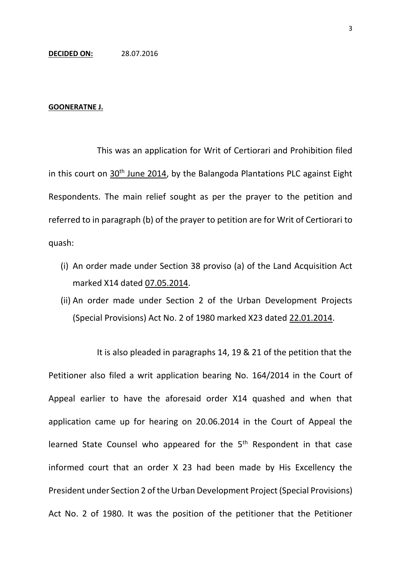#### **GOONERATNE J.**

This was an application for Writ of Certiorari and Prohibition filed in this court on  $30<sup>th</sup>$  June 2014, by the Balangoda Plantations PLC against Eight Respondents. The main relief sought as per the prayer to the petition and referred to in paragraph (b) of the prayer to petition are for Writ of Certiorari to quash:

- (i) An order made under Section 38 proviso (a) of the Land Acquisition Act marked X14 dated 07.05.2014.
- (ii) An order made under Section 2 of the Urban Development Projects (Special Provisions) Act No. 2 of 1980 marked X23 dated 22.01.2014.

It is also pleaded in paragraphs 14, 19 & 21 of the petition that the Petitioner also filed a writ application bearing No. 164/2014 in the Court of Appeal earlier to have the aforesaid order X14 quashed and when that application came up for hearing on 20.06.2014 in the Court of Appeal the learned State Counsel who appeared for the 5<sup>th</sup> Respondent in that case informed court that an order X 23 had been made by His Excellency the President under Section 2 of the Urban Development Project (Special Provisions) Act No. 2 of 1980. It was the position of the petitioner that the Petitioner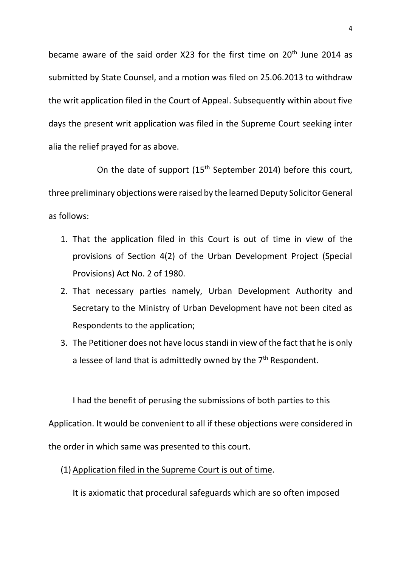became aware of the said order X23 for the first time on 20<sup>th</sup> June 2014 as submitted by State Counsel, and a motion was filed on 25.06.2013 to withdraw the writ application filed in the Court of Appeal. Subsequently within about five days the present writ application was filed in the Supreme Court seeking inter alia the relief prayed for as above.

On the date of support  $(15<sup>th</sup>$  September 2014) before this court, three preliminary objections were raised by the learned Deputy Solicitor General as follows:

- 1. That the application filed in this Court is out of time in view of the provisions of Section 4(2) of the Urban Development Project (Special Provisions) Act No. 2 of 1980.
- 2. That necessary parties namely, Urban Development Authority and Secretary to the Ministry of Urban Development have not been cited as Respondents to the application;
- 3. The Petitioner does not have locus standi in view of the fact that he is only a lessee of land that is admittedly owned by the  $7<sup>th</sup>$  Respondent.

I had the benefit of perusing the submissions of both parties to this Application. It would be convenient to all if these objections were considered in the order in which same was presented to this court.

(1) Application filed in the Supreme Court is out of time.

It is axiomatic that procedural safeguards which are so often imposed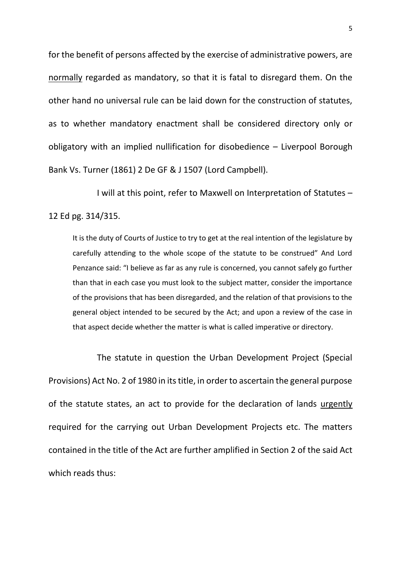for the benefit of persons affected by the exercise of administrative powers, are normally regarded as mandatory, so that it is fatal to disregard them. On the other hand no universal rule can be laid down for the construction of statutes, as to whether mandatory enactment shall be considered directory only or obligatory with an implied nullification for disobedience – Liverpool Borough Bank Vs. Turner (1861) 2 De GF & J 1507 (Lord Campbell).

I will at this point, refer to Maxwell on Interpretation of Statutes – 12 Ed pg. 314/315.

It is the duty of Courts of Justice to try to get at the real intention of the legislature by carefully attending to the whole scope of the statute to be construed" And Lord Penzance said: "I believe as far as any rule is concerned, you cannot safely go further than that in each case you must look to the subject matter, consider the importance of the provisions that has been disregarded, and the relation of that provisions to the general object intended to be secured by the Act; and upon a review of the case in that aspect decide whether the matter is what is called imperative or directory.

The statute in question the Urban Development Project (Special Provisions) Act No. 2 of 1980 in its title, in order to ascertain the general purpose of the statute states, an act to provide for the declaration of lands urgently required for the carrying out Urban Development Projects etc. The matters contained in the title of the Act are further amplified in Section 2 of the said Act which reads thus: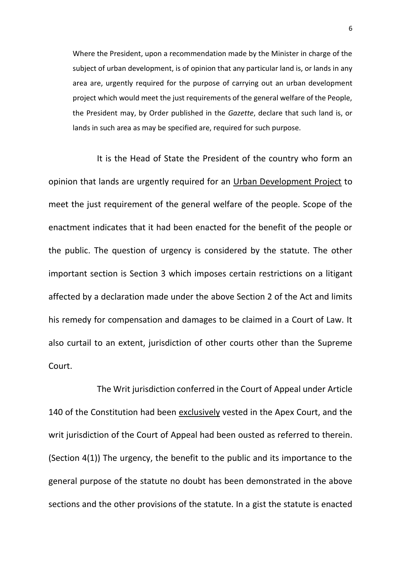Where the President, upon a recommendation made by the Minister in charge of the subject of urban development, is of opinion that any particular land is, or lands in any area are, urgently required for the purpose of carrying out an urban development project which would meet the just requirements of the general welfare of the People, the President may, by Order published in the *Gazette*, declare that such land is, or lands in such area as may be specified are, required for such purpose.

It is the Head of State the President of the country who form an opinion that lands are urgently required for an Urban Development Project to meet the just requirement of the general welfare of the people. Scope of the enactment indicates that it had been enacted for the benefit of the people or the public. The question of urgency is considered by the statute. The other important section is Section 3 which imposes certain restrictions on a litigant affected by a declaration made under the above Section 2 of the Act and limits his remedy for compensation and damages to be claimed in a Court of Law. It also curtail to an extent, jurisdiction of other courts other than the Supreme Court.

The Writ jurisdiction conferred in the Court of Appeal under Article 140 of the Constitution had been exclusively vested in the Apex Court, and the writ jurisdiction of the Court of Appeal had been ousted as referred to therein. (Section 4(1)) The urgency, the benefit to the public and its importance to the general purpose of the statute no doubt has been demonstrated in the above sections and the other provisions of the statute. In a gist the statute is enacted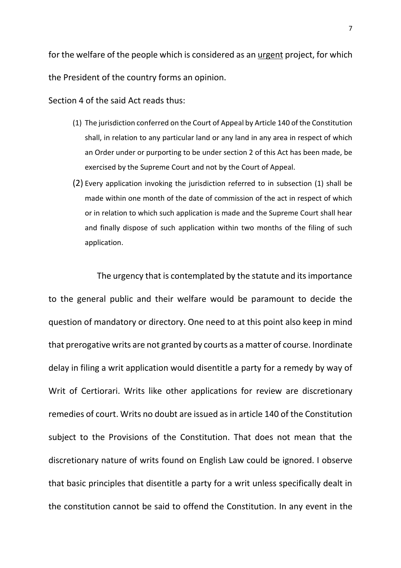for the welfare of the people which is considered as an urgent project, for which the President of the country forms an opinion.

Section 4 of the said Act reads thus:

- (1) The jurisdiction conferred on the Court of Appeal by Article 140 of the Constitution shall, in relation to any particular land or any land in any area in respect of which an Order under or purporting to be under section 2 of this Act has been made, be exercised by the Supreme Court and not by the Court of Appeal.
- (2) Every application invoking the jurisdiction referred to in subsection (1) shall be made within one month of the date of commission of the act in respect of which or in relation to which such application is made and the Supreme Court shall hear and finally dispose of such application within two months of the filing of such application.

The urgency that is contemplated by the statute and its importance to the general public and their welfare would be paramount to decide the question of mandatory or directory. One need to at this point also keep in mind that prerogative writs are not granted by courts as a matter of course. Inordinate delay in filing a writ application would disentitle a party for a remedy by way of Writ of Certiorari. Writs like other applications for review are discretionary remedies of court. Writs no doubt are issued as in article 140 of the Constitution subject to the Provisions of the Constitution. That does not mean that the discretionary nature of writs found on English Law could be ignored. I observe that basic principles that disentitle a party for a writ unless specifically dealt in the constitution cannot be said to offend the Constitution. In any event in the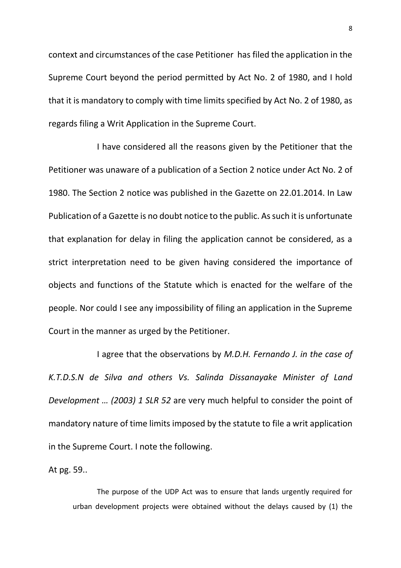context and circumstances of the case Petitioner has filed the application in the Supreme Court beyond the period permitted by Act No. 2 of 1980, and I hold that it is mandatory to comply with time limits specified by Act No. 2 of 1980, as regards filing a Writ Application in the Supreme Court.

I have considered all the reasons given by the Petitioner that the Petitioner was unaware of a publication of a Section 2 notice under Act No. 2 of 1980. The Section 2 notice was published in the Gazette on 22.01.2014. In Law Publication of a Gazette is no doubt notice to the public. As such it is unfortunate that explanation for delay in filing the application cannot be considered, as a strict interpretation need to be given having considered the importance of objects and functions of the Statute which is enacted for the welfare of the people. Nor could I see any impossibility of filing an application in the Supreme Court in the manner as urged by the Petitioner.

I agree that the observations by *M.D.H. Fernando J. in the case of K.T.D.S.N de Silva and others Vs. Salinda Dissanayake Minister of Land Development … (2003) 1 SLR 52* are very much helpful to consider the point of mandatory nature of time limits imposed by the statute to file a writ application in the Supreme Court. I note the following.

At pg. 59..

The purpose of the UDP Act was to ensure that lands urgently required for urban development projects were obtained without the delays caused by (1) the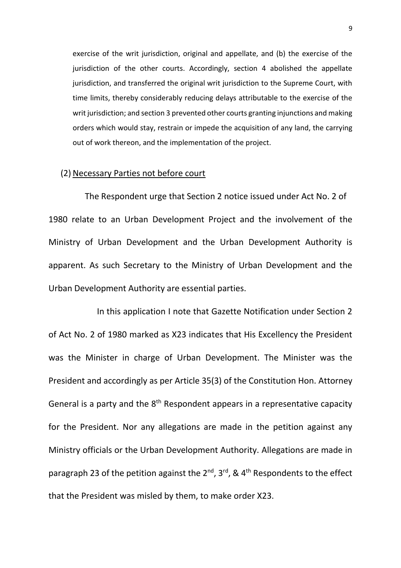exercise of the writ jurisdiction, original and appellate, and (b) the exercise of the jurisdiction of the other courts. Accordingly, section 4 abolished the appellate jurisdiction, and transferred the original writ jurisdiction to the Supreme Court, with time limits, thereby considerably reducing delays attributable to the exercise of the writ jurisdiction; and section 3 prevented other courts granting injunctions and making orders which would stay, restrain or impede the acquisition of any land, the carrying out of work thereon, and the implementation of the project.

## (2) Necessary Parties not before court

The Respondent urge that Section 2 notice issued under Act No. 2 of 1980 relate to an Urban Development Project and the involvement of the Ministry of Urban Development and the Urban Development Authority is apparent. As such Secretary to the Ministry of Urban Development and the Urban Development Authority are essential parties.

In this application I note that Gazette Notification under Section 2 of Act No. 2 of 1980 marked as X23 indicates that His Excellency the President was the Minister in charge of Urban Development. The Minister was the President and accordingly as per Article 35(3) of the Constitution Hon. Attorney General is a party and the  $8<sup>th</sup>$  Respondent appears in a representative capacity for the President. Nor any allegations are made in the petition against any Ministry officials or the Urban Development Authority. Allegations are made in paragraph 23 of the petition against the 2<sup>nd</sup>, 3<sup>rd</sup>, & 4<sup>th</sup> Respondents to the effect that the President was misled by them, to make order X23.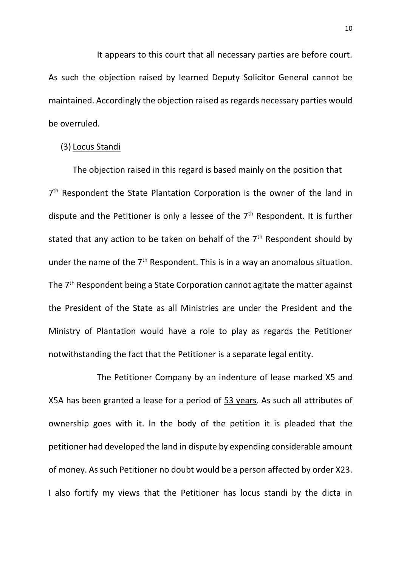It appears to this court that all necessary parties are before court. As such the objection raised by learned Deputy Solicitor General cannot be maintained. Accordingly the objection raised as regards necessary parties would be overruled.

# (3) Locus Standi

The objection raised in this regard is based mainly on the position that 7<sup>th</sup> Respondent the State Plantation Corporation is the owner of the land in dispute and the Petitioner is only a lessee of the  $7<sup>th</sup>$  Respondent. It is further stated that any action to be taken on behalf of the  $7<sup>th</sup>$  Respondent should by under the name of the  $7<sup>th</sup>$  Respondent. This is in a way an anomalous situation. The 7<sup>th</sup> Respondent being a State Corporation cannot agitate the matter against the President of the State as all Ministries are under the President and the Ministry of Plantation would have a role to play as regards the Petitioner notwithstanding the fact that the Petitioner is a separate legal entity.

The Petitioner Company by an indenture of lease marked X5 and X5A has been granted a lease for a period of 53 years. As such all attributes of ownership goes with it. In the body of the petition it is pleaded that the petitioner had developed the land in dispute by expending considerable amount of money. As such Petitioner no doubt would be a person affected by order X23. I also fortify my views that the Petitioner has locus standi by the dicta in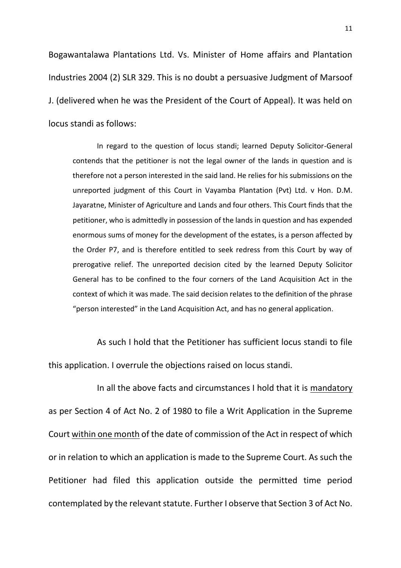Bogawantalawa Plantations Ltd. Vs. Minister of Home affairs and Plantation Industries 2004 (2) SLR 329. This is no doubt a persuasive Judgment of Marsoof J. (delivered when he was the President of the Court of Appeal). It was held on locus standi as follows:

In regard to the question of locus standi; learned Deputy Solicitor-General contends that the petitioner is not the legal owner of the lands in question and is therefore not a person interested in the said land. He relies for his submissions on the unreported judgment of this Court in Vayamba Plantation (Pvt) Ltd. v Hon. D.M. Jayaratne, Minister of Agriculture and Lands and four others. This Court finds that the petitioner, who is admittedly in possession of the lands in question and has expended enormous sums of money for the development of the estates, is a person affected by the Order P7, and is therefore entitled to seek redress from this Court by way of prerogative relief. The unreported decision cited by the learned Deputy Solicitor General has to be confined to the four corners of the Land Acquisition Act in the context of which it was made. The said decision relates to the definition of the phrase "person interested" in the Land Acquisition Act, and has no general application.

As such I hold that the Petitioner has sufficient locus standi to file this application. I overrule the objections raised on locus standi.

In all the above facts and circumstances I hold that it is mandatory as per Section 4 of Act No. 2 of 1980 to file a Writ Application in the Supreme Court within one month of the date of commission of the Act in respect of which or in relation to which an application is made to the Supreme Court. As such the Petitioner had filed this application outside the permitted time period contemplated by the relevant statute. Further I observe that Section 3 of Act No.